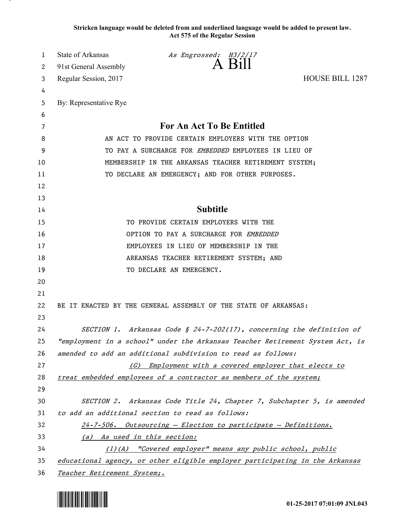**Stricken language would be deleted from and underlined language would be added to present law. Act 575 of the Regular Session**

| 1  | State of Arkansas                  | As Engrossed: H3/2/17                                                         |                        |
|----|------------------------------------|-------------------------------------------------------------------------------|------------------------|
| 2  | 91st General Assembly              | A Bill                                                                        |                        |
| 3  | Regular Session, 2017              |                                                                               | <b>HOUSE BILL 1287</b> |
| 4  |                                    |                                                                               |                        |
| 5  | By: Representative Rye             |                                                                               |                        |
| 6  |                                    |                                                                               |                        |
| 7  |                                    | For An Act To Be Entitled                                                     |                        |
| 8  |                                    | AN ACT TO PROVIDE CERTAIN EMPLOYERS WITH THE OPTION                           |                        |
| 9  |                                    | TO PAY A SURCHARGE FOR EMBEDDED EMPLOYEES IN LIEU OF                          |                        |
| 10 |                                    | MEMBERSHIP IN THE ARKANSAS TEACHER RETIREMENT SYSTEM;                         |                        |
| 11 |                                    | TO DECLARE AN EMERGENCY; AND FOR OTHER PURPOSES.                              |                        |
| 12 |                                    |                                                                               |                        |
| 13 |                                    |                                                                               |                        |
| 14 |                                    | <b>Subtitle</b>                                                               |                        |
| 15 |                                    | TO PROVIDE CERTAIN EMPLOYERS WITH THE                                         |                        |
| 16 |                                    | OPTION TO PAY A SURCHARGE FOR EMBEDDED                                        |                        |
| 17 |                                    | EMPLOYEES IN LIEU OF MEMBERSHIP IN THE                                        |                        |
| 18 |                                    | ARKANSAS TEACHER RETIREMENT SYSTEM; AND                                       |                        |
| 19 |                                    | TO DECLARE AN EMERGENCY.                                                      |                        |
| 20 |                                    |                                                                               |                        |
| 21 |                                    |                                                                               |                        |
| 22 |                                    | BE IT ENACTED BY THE GENERAL ASSEMBLY OF THE STATE OF ARKANSAS:               |                        |
| 23 |                                    |                                                                               |                        |
| 24 |                                    | SECTION 1. Arkansas Code § 24-7-202(17), concerning the definition of         |                        |
| 25 |                                    | "employment in a school" under the Arkansas Teacher Retirement System Act, is |                        |
| 26 |                                    | amended to add an additional subdivision to read as follows:                  |                        |
| 27 | (G)                                | Employment with a covered employer that elects to                             |                        |
| 28 |                                    | treat embedded employees of a contractor as members of the system;            |                        |
| 29 |                                    |                                                                               |                        |
| 30 |                                    | SECTION 2. Arkansas Code Title 24, Chapter 7, Subchapter 5, is amended        |                        |
| 31 |                                    | to add an additional section to read as follows:                              |                        |
| 32 |                                    | 24-7-506. Outsourcing - Election to participate - Definitions.                |                        |
| 33 | (a) As used in this section:       |                                                                               |                        |
| 34 |                                    | (1)(A) "Covered employer" means any public school, public                     |                        |
| 35 |                                    | educational agency, or other eligible employer participating in the Arkansas  |                        |
| 36 | <u>Teacher Retirement System;.</u> |                                                                               |                        |

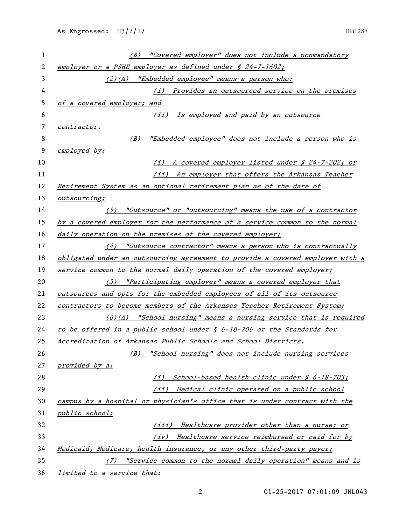| 1  | "Covered employer" does not include a nonmandatory<br>(B)                     |
|----|-------------------------------------------------------------------------------|
| 2  | employer or a PSHE employer as defined under § 24-7-1602;                     |
| 3  | (2)(A) "Embedded employee" means a person who:                                |
| 4  | (i) Provides an outsourced service on the premises                            |
| 5  | of a covered employer; and                                                    |
| 6  | Is employed and paid by an outsource<br>(iii)                                 |
| 7  | contractor.                                                                   |
| 8  | "Embedded employee" does not include a person who is<br>(B)                   |
| 9  | employed by:                                                                  |
| 10 | A covered employer listed under § 24-7-202; or<br>(i)                         |
| 11 | (ii) An employer that offers the Arkansas Teacher                             |
| 12 | Retirement System as an optional retirement plan as of the date of            |
| 13 | outsourcing;                                                                  |
| 14 | "Outsource" or "outsourcing" means the use of a contractor<br>(3)             |
| 15 | by a covered employer for the performance of a service common to the normal   |
| 16 | daily operation on the premises of the covered employer;                      |
| 17 | $(4)$ "Outsource contractor" means a person who is contractually              |
| 18 | obligated under an outsourcing agreement to provide a covered employer with a |
| 19 | service common to the normal daily operation of the covered employer;         |
| 20 | (5) "Participating employer" means a covered employer that                    |
| 21 | outsources and opts for the embedded employees of all of its outsource        |
| 22 | contractors to become members of the Arkansas Teacher Retirement System;      |
| 23 | (6)(A) "School nursing" means a nursing service that is required              |
| 24 | to be offered in a public school under $\oint$ 6-18-706 or the Standards for  |
| 25 | Accreditation of Arkansas Public Schools and School Districts.                |
| 26 | "School nursing" does not include nursing services<br>(B)                     |
| 27 | provided by a:                                                                |
| 28 | (i) School-based health clinic under $\oint$ 6-18-703;                        |
| 29 | (ii) Medical clinic operated on a public school                               |
| 30 | campus by a hospital or physician's office that is under contract with the    |
| 31 | public school;                                                                |
| 32 | Healthcare provider other than a nurse; or<br>(iii)                           |
| 33 | Healthcare service reimbursed or paid for by<br>(iv)                          |
| 34 | Medicaid, Medicare, health insurance, or any other third-party payer;         |
| 35 | "Service common to the normal daily operation" means and is<br>$($ / $)$      |
| 36 | limited to a service that:                                                    |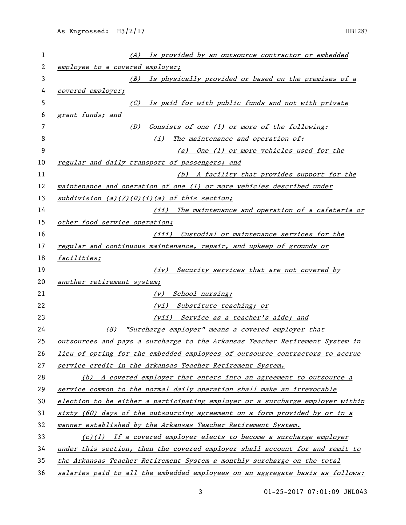| 1  | (A) Is provided by an outsource contractor or embedded                        |
|----|-------------------------------------------------------------------------------|
| 2  | employee to a covered employer;                                               |
| 3  | (B) Is physically provided or based on the premises of a                      |
| 4  | covered employer;                                                             |
| 5  | Is paid for with public funds and not with private<br>(C)                     |
| 6  | grant funds; and                                                              |
| 7  | Consists of one (1) or more of the following:<br>(D)                          |
| 8  | The maintenance and operation of:<br>(i)                                      |
| 9  | (a) One (1) or more vehicles used for the                                     |
| 10 | regular and daily transport of passengers; and                                |
| 11 | (b) A facility that provides support for the                                  |
| 12 | maintenance and operation of one (1) or more vehicles described under         |
| 13 | $subdivision$ (a)(7)(D)(i)(a) of this section;                                |
| 14 | (ii) The maintenance and operation of a cafeteria or                          |
| 15 | other food service operation;                                                 |
| 16 | (iii) Custodial or maintenance services for the                               |
| 17 | regular and continuous maintenance, repair, and upkeep of grounds or          |
| 18 | facilities;                                                                   |
| 19 | Security services that are not covered by<br>(iv)                             |
| 20 | another retirement system;                                                    |
| 21 | School nursing;<br>(V)                                                        |
| 22 | (vi) Substitute teaching; or                                                  |
| 23 | (vii) Service as a teacher's aide; and                                        |
| 24 | "Surcharge employer" means a covered employer that<br>(8)                     |
| 25 | outsources and pays a surcharge to the Arkansas Teacher Retirement System in  |
| 26 | lieu of opting for the embedded employees of outsource contractors to accrue  |
| 27 | service credit in the Arkansas Teacher Retirement System.                     |
| 28 | (b) A covered employer that enters into an agreement to outsource a           |
| 29 | service common to the normal daily operation shall make an irrevocable        |
| 30 | election to be either a participating employer or a surcharge employer within |
| 31 | sixty (60) days of the outsourcing agreement on a form provided by or in a    |
| 32 | manner established by the Arkansas Teacher Retirement System.                 |
| 33 | $(c)(1)$ If a covered employer elects to become a surcharge employer          |
| 34 | under this section, then the covered employer shall account for and remit to  |
| 35 | the Arkansas Teacher Retirement System a monthly surcharge on the total       |
| 36 | salaries paid to all the embedded employees on an aggregate basis as follows: |

01-25-2017 07:01:09 JNL043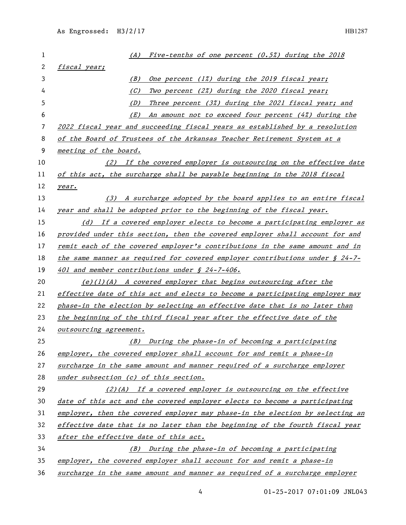| 1  | Five-tenths of one percent $(0.5%)$ during the 2018<br>(A)                         |  |
|----|------------------------------------------------------------------------------------|--|
| 2  | fiscal year;                                                                       |  |
| 3  | (B)<br>One percent (1%) during the 2019 fiscal year;                               |  |
| 4  | (C)<br>Two percent (2%) during the 2020 fiscal year;                               |  |
| 5  | Three percent (3%) during the 2021 fiscal year; and<br>(D)                         |  |
| 6  | An amount not to exceed four percent (4%) during the<br>(E)                        |  |
| 7  | 2022 fiscal year and succeeding fiscal years as established by a resolution        |  |
| 8  | of the Board of Trustees of the Arkansas Teacher Retirement System at a            |  |
| 9  | meeting of the board.                                                              |  |
| 10 | (2) If the covered employer is outsourcing on the effective date                   |  |
| 11 | of this act, the surcharge shall be payable beginning in the 2018 fiscal           |  |
| 12 | year.                                                                              |  |
| 13 | (3) A surcharge adopted by the board applies to an entire fiscal                   |  |
| 14 | year and shall be adopted prior to the beginning of the fiscal year.               |  |
| 15 | (d) If a covered employer elects to become a participating employer as             |  |
| 16 | provided under this section, then the covered employer shall account for and       |  |
| 17 | remit each of the covered employer's contributions in the same amount and in       |  |
| 18 | the same manner as required for covered employer contributions under $\oint 24-7-$ |  |
| 19 | 401 and member contributions under § 24-7-406.                                     |  |
| 20 | $(e)(1)(A)$ A covered employer that begins outsourcing after the                   |  |
| 21 | effective date of this act and elects to become a participating employer may       |  |
| 22 | phase-in the election by selecting an effective date that is no later than         |  |
| 23 | the beginning of the third fiscal year after the effective date of the             |  |
| 24 | outsourcing agreement.                                                             |  |
| 25 | (B) During the phase-in of becoming a participating                                |  |
| 26 | employer, the covered employer shall account for and remit a phase-in              |  |
| 27 | surcharge in the same amount and manner required of a surcharge employer           |  |
| 28 | under subsection (c) of this section.                                              |  |
| 29 | $(2)(A)$ If a covered employer is outsourcing on the effective                     |  |
| 30 | date of this act and the covered employer elects to become a participating         |  |
| 31 | employer, then the covered employer may phase-in the election by selecting an      |  |
| 32 | effective date that is no later than the beginning of the fourth fiscal year       |  |
| 33 | after the effective date of this act.                                              |  |
| 34 | (B) During the phase-in of becoming a participating                                |  |
| 35 | employer, the covered employer shall account for and remit a phase-in              |  |
| 36 | surcharge in the same amount and manner as required of a surcharge employer        |  |

01-25-2017 07:01:09 JNL043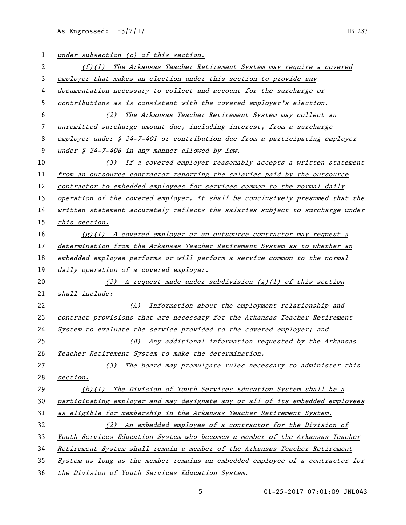As Engrossed: H3/2/17 HB1287

| 1  | under subsection (c) of this section.                                                  |
|----|----------------------------------------------------------------------------------------|
| 2  | $(f)(1)$ The Arkansas Teacher Retirement System may require a covered                  |
| 3  | employer that makes an election under this section to provide any                      |
| 4  | documentation necessary to collect and account for the surcharge or                    |
| 5  | contributions as is consistent with the covered employer's election.                   |
| 6  | (2) The Arkansas Teacher Retirement System may collect an                              |
| 7  | unremitted surcharge amount due, including interest, from a surcharge                  |
| 8  | employer under $\frac{s}{24}$ -7-401 or contribution due from a participating employer |
| 9  | under $\zeta$ 24-7-406 in any manner allowed by law.                                   |
| 10 | (3) If a covered employer reasonably accepts a written statement                       |
| 11 | from an outsource contractor reporting the salaries paid by the outsource              |
| 12 | contractor to embedded employees for services common to the normal daily               |
| 13 | operation of the covered employer, it shall be conclusively presumed that the          |
| 14 | written statement accurately reflects the salaries subject to surcharge under          |
| 15 | this section.                                                                          |
| 16 | $(g)(1)$ A covered employer or an outsource contractor may request a                   |
| 17 | determination from the Arkansas Teacher Retirement System as to whether an             |
| 18 | embedded employee performs or will perform a service common to the normal              |
| 19 | daily operation of a covered employer.                                                 |
| 20 | (2) A request made under subdivision $(g)(1)$ of this section                          |
| 21 | shall include:                                                                         |
| 22 | (A) Information about the employment relationship and                                  |
| 23 | contract provisions that are necessary for the Arkansas Teacher Retirement             |
| 24 | System to evaluate the service provided to the covered employer; and                   |
| 25 | (B) Any additional information requested by the Arkansas                               |
| 26 | Teacher Retirement System to make the determination.                                   |
| 27 | (3) The board may promulgate rules necessary to administer this                        |
| 28 | section.                                                                               |
| 29 | (h)(l) The Division of Youth Services Education System shall be a                      |
| 30 | participating employer and may designate any or all of its embedded employees          |
| 31 | as eligible for membership in the Arkansas Teacher Retirement System.                  |
| 32 | (2) An embedded employee of a contractor for the Division of                           |
| 33 | Youth Services Education System who becomes a member of the Arkansas Teacher           |
| 34 | Retirement System shall remain a member of the Arkansas Teacher Retirement             |
| 35 | System as long as the member remains an embedded employee of a contractor for          |
| 36 | the Division of Youth Services Education System.                                       |

01-25-2017 07:01:09 JNL043